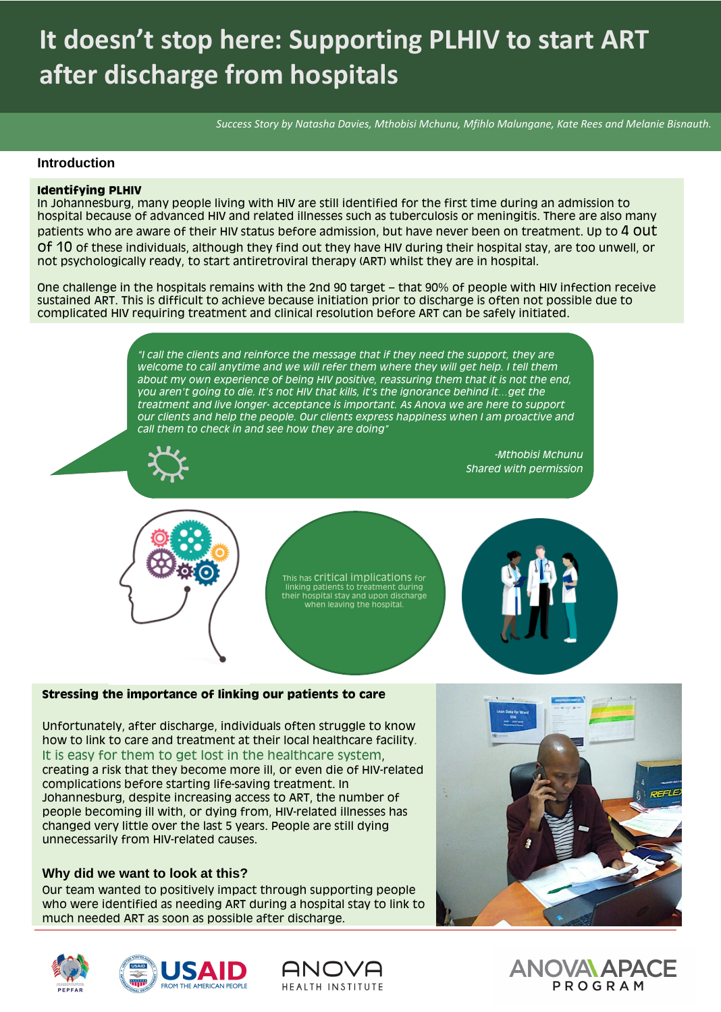# **It doesn't stop here: Supporting PLHIV to start ART after discharge from hospitals**

*Success Story by Natasha Davies, Mthobisi Mchunu, Mfihlo Malungane, Kate Rees and Melanie Bisnauth.*

#### **Introduction**

#### **Identifying PLHIV**

In Johannesburg, many people living with HIV are still identified for the first time during an admission to hospital because of advanced HIV and related illnesses such as tuberculosis or meningitis. There are also many patients who are aware of their HIV status before admission, but have never been on treatment. Up to 4 OUT of 10 of these individuals, although they find out they have HIV during their hospital stay, are too unwell, or not psychologically ready, to start antiretroviral therapy (ART) whilst they are in hospital.

One challenge in the hospitals remains with the 2nd 90 target – that 90% of people with HIV infection receive sustained ART. This is difficult to achieve because initiation prior to discharge is often not possible due to complicated HIV requiring treatment and clinical resolution before ART can be safely initiated.

> This has Critical implications for linking patients to treatment during their hospital stay and upon discharge when leaving the hospital.



#### **Stressing the importance of linking our patients to care**

Unfortunately, after discharge, individuals often struggle to know how to link to care and treatment at their local healthcare facility. It is easy for them to get lost in the healthcare system, creating a risk that they become more ill, or even die of HIV-related complications before starting life-saving treatment. In Johannesburg, despite increasing access to ART, the number of people becoming ill with, or dying from, HIV-related illnesses has changed very little over the last 5 years. People are still dying unnecessarily from HIV-related causes.



#### **Why did we want to look at this?**

Our team wanted to positively impact through supporting people who were identified as needing ART during a hospital stay to link to much needed ART as soon as possible after discharge.







### ANOVA APACE PROGRAM

*"I call the clients and reinforce the message that if they need the support, they are welcome to call anytime and we will refer them where they will get help. I tell them about my own experience of being HIV positive, reassuring them that it is not the end, you aren't going to die. It's not HIV that kills, it's the ignorance behind it…get the treatment and live longer- acceptance is important. As Anova we are here to support our clients and help the people. Our clients express happiness when I am proactive and call them to check in and see how they are doing"* 



*-Mthobisi Mchunu Shared with permission*



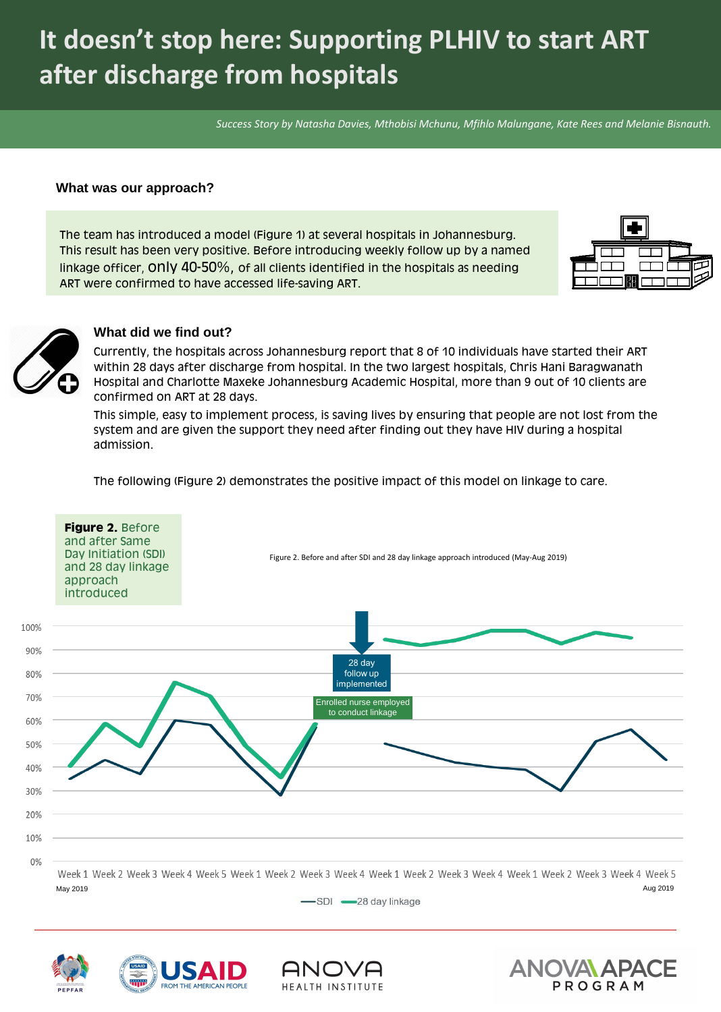**Figure 2.** Before and after Same

The team has introduced a model (Figure 1) at several hospitals in Johannesburg. This result has been very positive. Before introducing weekly follow up by a named linkage officer, only 40-50%, of all clients identified in the hospitals as needing



## ART were confirmed to have accessed life-saving ART.



# **It doesn't stop here: Supporting PLHIV to start ART after discharge from hospitals**

*Success Story by Natasha Davies, Mthobisi Mchunu, Mfihlo Malungane, Kate Rees and Melanie Bisnauth.*

#### **What was our approach?**

Week 1 Week 2 Week 3 Week 4 Week 5 Week 1 Week 2 Week 3 Week 4 Week 2 Week 3 Week 4 Week 1 Week 2 Week 4 Week 5 May 2019 Aug 2019

-SDI -28 day linkage







10%

#### $0%$

Currently, the hospitals across Johannesburg report that 8 of 10 individuals have started their ART within 28 days after discharge from hospital. In the two largest hospitals, Chris Hani Baragwanath Hospital and Charlotte Maxeke Johannesburg Academic Hospital, more than 9 out of 10 clients are confirmed on ART at 28 days.

This simple, easy to implement process, is saving lives by ensuring that people are not lost from the system and are given the support they need after finding out they have HIV during a hospital admission.

The following (Figure 2) demonstrates the positive impact of this model on linkage to care.

#### **What did we find out?**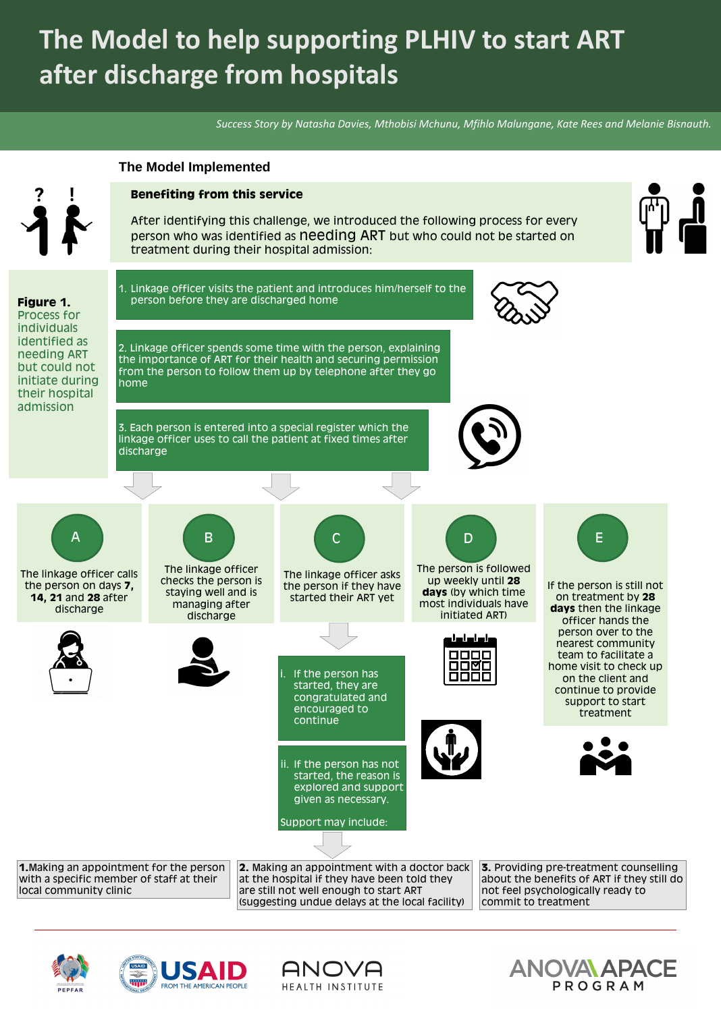#### **Benefiting from this service**

After identifying this challenge, we introduced the following process for every person who was identified as needing ART but who could not be started on treatment during their hospital admission:



1. Linkage officer visits the patient and introduces him/herself to the person before they are discharged home



2. Linkage officer spends some time with the person, explaining the importance of ART for their health and securing permission from the person to follow them up by telephone after they go home

3. Each person is entered into a special register which the linkage officer uses to call the patient at fixed times after discharge



If the person has started, they are congratulated and encouraged to continue

ii. If the person has not started, the reason is explored and support given as necessary.





**Figure 1.**  Process for individuals identified as needing ART but could not initiate during their hospital admission

# **The Model to help supporting PLHIV to start ART after discharge from hospitals**

*Success Story by Natasha Davies, Mthobisi Mchunu, Mfihlo Malungane, Kate Rees and Melanie Bisnauth.*

The linkage officer calls the person on days **7, 14, 21** and **28** after discharge

The linkage officer checks the person is staying well and is managing after discharge

A ) (B ) (C

The linkage officer asks the person if they have started their ART yet



The person is followed up weekly until **28 days** (by which time most individuals have initiated ART)

D





If the person is still not on treatment by **28 days** then the linkage officer hands the person over to the nearest community team to facilitate a home visit to check up on the client and continue to provide support to start treatment

E



**1.**Making an appointment for the person with a specific member of staff at their local community clinic

**2.** Making an appointment with a doctor back at the hospital if they have been told they are still not well enough to start ART (suggesting undue delays at the local facility)

**3.** Providing pre-treatment counselling about the benefits of ART if they still do not feel psychologically ready to commit to treatment



### ANOVA APACE PROGRAM

#### **The Model Implemented**